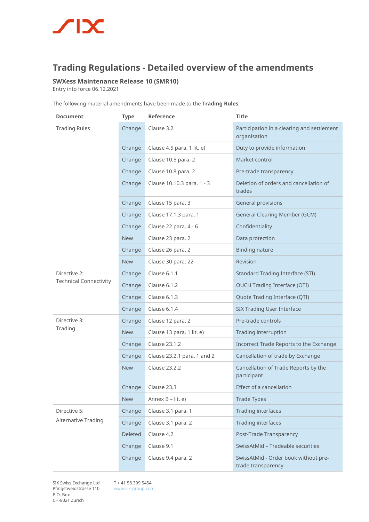## $\sqrt{2}$

## **Trading Regulations - Detailed overview of the amendments**

## **SWXess Maintenance Release 10 (SMR10)**

Entry into force 06.12.2021

|  | The following material amendments have been made to the Trading Rules: |  |  |
|--|------------------------------------------------------------------------|--|--|
|  |                                                                        |  |  |

| <b>Document</b>               | <b>Type</b> | Reference                   | <b>Title</b>                                               |  |
|-------------------------------|-------------|-----------------------------|------------------------------------------------------------|--|
| <b>Trading Rules</b>          | Change      | Clause 3.2                  | Participation in a clearing and settlement<br>organisation |  |
|                               | Change      | Clause 4.5 para. 1 lit. e)  | Duty to provide information                                |  |
|                               | Change      | Clause 10.5 para. 2         | Market control                                             |  |
|                               | Change      | Clause 10.8 para. 2         | Pre-trade transparency                                     |  |
|                               | Change      | Clause 10.10.3 para. 1 - 3  | Deletion of orders and cancellation of<br>trades           |  |
|                               | Change      | Clause 15 para. 3           | <b>General provisions</b>                                  |  |
|                               | Change      | Clause 17.1.3 para. 1       | <b>General Clearing Member (GCM)</b>                       |  |
|                               | Change      | Clause 22 para. 4 - 6       | Confidentiality                                            |  |
|                               | <b>New</b>  | Clause 23 para. 2           | Data protection                                            |  |
|                               | Change      | Clause 26 para. 2           | <b>Binding nature</b>                                      |  |
|                               | <b>New</b>  | Clause 30 para. 22          | Revision                                                   |  |
| Directive 2:                  | Change      | Clause 6.1.1                | <b>Standard Trading Interface (STI)</b>                    |  |
| <b>Technical Connectivity</b> | Change      | Clause 6.1.2                | <b>OUCH Trading Interface (OTI)</b>                        |  |
|                               | Change      | Clause 6.1.3                | Quote Trading Interface (QTI)                              |  |
|                               | Change      | Clause 6.1.4                | <b>SIX Trading User Interface</b>                          |  |
| Directive 3:                  | Change      | Clause 12 para. 2           | Pre-trade controls                                         |  |
| Trading                       | <b>New</b>  | Clause 13 para. 1 lit. e)   | Trading interruption                                       |  |
|                               | Change      | Clause 23.1.2               | Incorrect Trade Reports to the Exchange                    |  |
|                               | Change      | Clause 23.2.1 para. 1 and 2 | Cancellation of trade by Exchange                          |  |
|                               | <b>New</b>  | Clause 23.2.2               | Cancellation of Trade Reports by the<br>participant        |  |
|                               | Change      | Clause 23.3                 | Effect of a cancellation                                   |  |
|                               | <b>New</b>  | Annex B - lit. e)           | <b>Trade Types</b>                                         |  |
| Directive 5:                  | Change      | Clause 3.1 para. 1          | <b>Trading interfaces</b>                                  |  |
| Alternative Trading           | Change      | Clause 3.1 para. 2          | <b>Trading interfaces</b>                                  |  |
|                               | Deleted     | Clause 4.2                  | Post-Trade Transparency                                    |  |
|                               | Change      | Clause 9.1                  | SwissAtMid - Tradeable securities                          |  |
|                               | Change      | Clause 9.4 para. 2          | SwissAtMid - Order book without pre-<br>trade transparency |  |

SIX Swiss Exchange Ltd Pfingstweidstrasse 110 P.O. Box CH-8021 Zurich

T + 41 58 399 5454 [www.six-group.com](http://www.six-group.com/)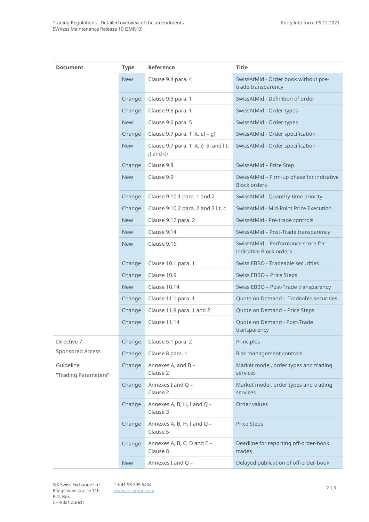| <b>Document</b>                   | <b>Type</b> | Reference                                           | <b>Title</b>                                                     |  |
|-----------------------------------|-------------|-----------------------------------------------------|------------------------------------------------------------------|--|
|                                   | <b>New</b>  | Clause 9.4 para. 4                                  | SwissAtMid - Order book without pre-<br>trade transparency       |  |
|                                   | Change      | Clause 9.5 para. 1                                  | SwissAtMid - Definition of order                                 |  |
|                                   | Change      | Clause 9.6 para. 1                                  | SwissAtMid - Order types                                         |  |
|                                   | <b>New</b>  | Clause 9.6 para. 5                                  | SwissAtMid - Order types                                         |  |
|                                   | Change      | Clause 9.7 para. 1 lit. e) - g)                     | SwissAtMid - Order specification                                 |  |
|                                   | <b>New</b>  | Clause 9.7 para. 1 lit. i) 5. and lit.<br>j) and k) | SwissAtMid - Order specification                                 |  |
|                                   | Change      | Clause 9.8                                          | SwissAtMid - Price Step                                          |  |
|                                   | <b>New</b>  | Clause 9.9                                          | SwissAtMid - Firm-up phase for indicative<br><b>Block orders</b> |  |
|                                   | Change      | Clause 9.10.1 para. 1 and 2                         | SwissAtMid - Quantity-time priority                              |  |
|                                   | Change      | Clause 9.10.2 para. 2 and 3 lit. c                  | SwissAtMid - Mid-Point Price Execution                           |  |
|                                   | <b>New</b>  | Clause 9.12 para. 2                                 | SwissAtMid - Pre-trade controls                                  |  |
|                                   | <b>New</b>  | Clause 9.14                                         | SwissAtMid - Post-Trade transparency                             |  |
|                                   | <b>New</b>  | Clause 9.15                                         | SwissAtMid - Performance score for<br>indicative Block orders    |  |
|                                   | Change      | Clause 10.1 para. 1                                 | Swiss EBBO - Tradeable securities                                |  |
|                                   | Change      | Clause 10.9                                         | Swiss EBBO - Price Steps                                         |  |
|                                   | <b>New</b>  | Clause 10.14                                        | Swiss EBBO - Post-Trade transparency                             |  |
|                                   | Change      | Clause 11.1 para. 1                                 | Quote on Demand - Tradeable securities                           |  |
|                                   | Change      | Clause 11.8 para. 1 and 2                           | Quote on Demand - Price Steps                                    |  |
|                                   | Change      | Clause 11.14                                        | Quote on Demand - Post-Trade<br>transparency                     |  |
| Directive 7:                      | Change      | Clause 5.1 para. 2                                  | Principles                                                       |  |
| Sponsored Access                  | Change      | Clause 8 para. 1                                    | Risk management controls                                         |  |
| Guideline<br>"Trading Parameters" | Change      | Annexes A, and B -<br>Clause 2                      | Market model, order types and trading<br>services                |  |
|                                   | Change      | Annexes I and Q -<br>Clause 2                       | Market model, order types and trading<br>services                |  |
|                                   | Change      | Annexes A, B, H, I and Q -<br>Clause 3              | Order values                                                     |  |
|                                   | Change      | Annexes A, B, H, I and Q -<br>Clause 5              | <b>Price Steps</b>                                               |  |
|                                   | Change      | Annexes A, B, C, D and E -<br>Clause 8              | Deadline for reporting off-order-book<br>trades                  |  |
|                                   | <b>New</b>  | Annexes I and Q -                                   | Delayed publication of off-order-book                            |  |

<sup>2</sup> | 3 SIX Swiss Exchange Ltd T + 41 58 399 5454 Pfingstweidstrasse 110 P.O. Box CH-8021 Zurich

[www.six-group.com](http://www.six-group.com/)